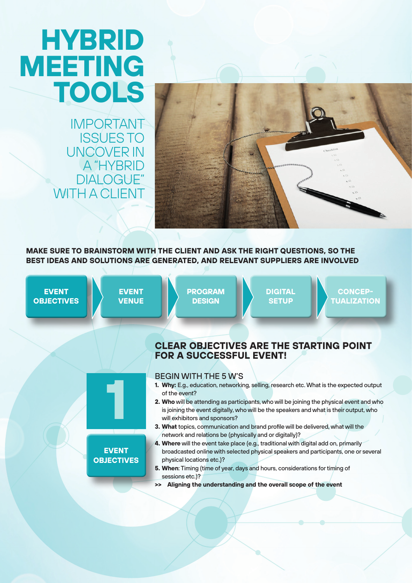# **HYBRID MEETING TOOLS**

IMPORTANT ISSUES TO UNCOVER IN A "HYBRID DIALOGUE" WITH A CLIENT



**MAKE SURE TO BRAINSTORM WITH THE CLIENT AND ASK THE RIGHT QUESTIONS, SO THE BEST IDEAS AND SOLUTIONS ARE GENERATED, AND RELEVANT SUPPLIERS ARE INVOLVED**

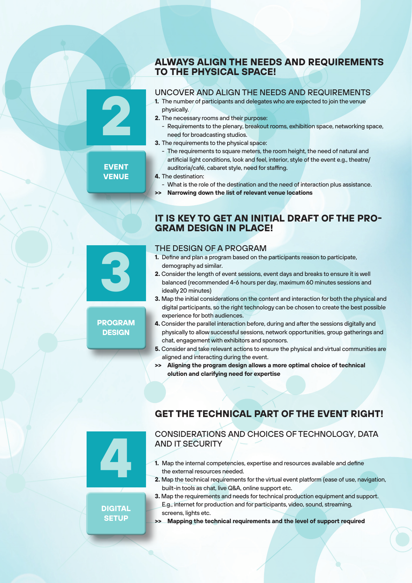#### **ALWAYS ALIGN THE NEEDS AND REQUIREMENTS TO THE PHYSICAL SPACE!**

#### UNCOVER AND ALIGN THE NEEDS AND REQUIREMENTS

- **1.** The number of participants and delegates who are expected to join the venue physically.
- **2.** The necessary rooms and their purpose:
	- Requirements to the plenary, breakout rooms, exhibition space, networking space, need for broadcasting studios.
- **3.** The requirements to the physical space:
	- The requirements to square meters, the room height, the need of natural and artificial light conditions, look and feel, interior, style of the event e.g., theatre/ auditoria/café, cabaret style, need for staffing.
- **4.** The destination:
- What is the role of the destination and the need of interaction plus assistance.
- **>> Narrowing down the list of relevant venue locations**

#### **IT IS KEY TO GET AN INITIAL DRAFT OF THE PRO-GRAM DESIGN IN PLACE!**

#### THE DESIGN OF A PROGRAM

- **1.** Define and plan a program based on the participants reason to participate, demography ad similar.
- **2.** Consider the length of event sessions, event days and breaks to ensure it is well balanced (recommended 4-6 hours per day, maximum 60 minutes sessions and ideally 20 minutes)
- **3.** Map the initial considerations on the content and interaction for both the physical and digital participants, so the right technology can be chosen to create the best possible experience for both audiences.
- **4.** Consider the parallel interaction before, during and after the sessions digitally and physically to allow successful sessions, network opportunities, group gatherings and chat, engagement with exhibitors and sponsors.
- **5.** Consider and take relevant actions to ensure the physical and virtual communities are aligned and interacting during the event.
- **>> Aligning the program design allows a more optimal choice of technical olution and clarifying need for expertise**

## **GET THE TECHNICAL PART OF THE EVENT RIGHT!**

CONSIDERATIONS AND CHOICES OF TECHNOLOGY, DATA AND IT SECURITY

- **1.** Map the internal competencies, expertise and resources available and define the external resources needed.
- **2.** Map the technical requirements for the virtual event platform (ease of use, navigation, built-in tools as chat, live Q&A, online support etc.
- **3.** Map the requirements and needs for technical production equipment and support. E.g., internet for production and for participants, video, sound, streaming, screens, lights etc.
- **>> Mapping the technical requirements and the level of support required**

#### **EVENT VENUE**

**2**



#### **PROGRAM DESIGN**



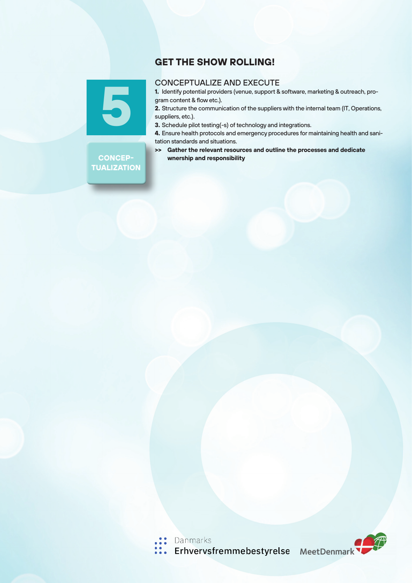### **GET THE SHOW ROLLING!**



#### CONCEPTUALIZE AND EXECUTE

**1.** Identify potential providers (venue, support & software, marketing & outreach, program content & flow etc.).

**2.** Structure the communication of the suppliers with the internal team (IT, Operations, suppliers, etc.).

**3.** Schedule pilot testing(-s) of technology and integrations.

**4.** Ensure health protocols and emergency procedures for maintaining health and sanitation standards and situations.

**>> Gather the relevant resources and outline the processes and dedicate wnership and responsibility**

#### **CONCEP-TUALIZATION**

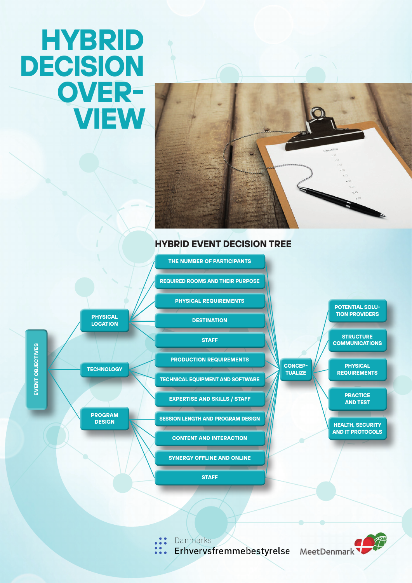# **HYBRID DECISION OVER-VIEW**



**CONCEP-TUALIZE**

## **HYBRID EVENT DECISION TREE**

**REQUIRED ROOMS AND THEIR PURPOSE**

**THE NUMBER OF PARTICIPANTS** 

**PHYSICAL REQUIREMENTS**

**DESTINATION**

**STAFF**

**PRODUCTION REQUIREMENTS**

**PHYSICAL LOCATION**

**TECHNOLOGY**

**PROGRAM DESIGN**

**TECHNICAL EQUIPMENT AND SOFTWARE**

**EXPERTISE AND SKILLS / STAFF** 

**SESSION LENGTH AND PROGRAM DESIGN**

**CONTENT AND INTERACTION**

**SYNERGY OFFLINE AND ONLINE**

**STAFF**

**POTENTIAL SOLU-TION PROVIDERS**

**STRUCTURE COMMUNICATIONS**

**PHYSICAL REQUIREMENTS**

> **PRACTICE AND TEST**

**HEALTH, SECURITY AND IT PROTOCOLS**

Danmarks

Erhvervsfremmebestyrelse MeetDenmark



EVENT OBJECTIVES **EVENT OBJECTIVES**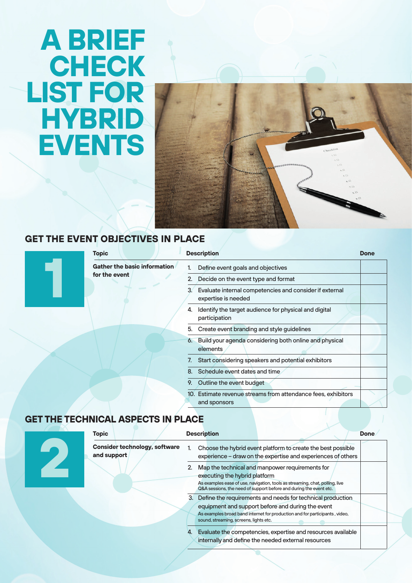# **A BRIEF CHECK LIST FOR HYBRID EVENTS**



## **GET THE EVENT C**

| <b>Topic</b>                 | <b>Description</b>                                                                  |  |
|------------------------------|-------------------------------------------------------------------------------------|--|
| Gather the basic information | Define event goals and objectives                                                   |  |
| for the event                | Decide on the event type and format<br>2.                                           |  |
|                              | 3<br>Evaluate internal competencies and consider if external<br>expertise is needed |  |
|                              | Identify the target audience for physical and digital<br>4.<br>participation        |  |
|                              | Create event branding and style guidelines<br>5.                                    |  |
|                              | Build your agenda considering both online and physical<br>6.<br>elements            |  |
|                              | Start considering speakers and potential exhibitors<br>7.                           |  |
|                              | Schedule event dates and time                                                       |  |
|                              | 9.<br>Outline the event budget                                                      |  |
|                              | 10. Estimate revenue streams from attendance fees, exhibitors<br>and sponsors       |  |

### **GET THE TECHNICAL ASPECTS IN PLACE**

| <b>Topic</b>                                        | <b>Description</b>                                                                                                                                                                                                                          | <b>Done</b> |
|-----------------------------------------------------|---------------------------------------------------------------------------------------------------------------------------------------------------------------------------------------------------------------------------------------------|-------------|
| <b>Consider technology, software</b><br>and support | Choose the hybrid event platform to create the best possible<br>experience - draw on the expertise and experiences of others                                                                                                                |             |
|                                                     | Map the technical and manpower requirements for<br>executing the hybrid platform<br>As examples ease of use, navigation, tools as streaming, chat, polling, live<br>Q&A sessions, the need of support before and during the event etc.      |             |
|                                                     | 3. Define the requirements and needs for technical production<br>equipment and support before and during the event<br>As examples broad band internet for production and for participants, video,<br>sound, streaming, screens, lights etc. |             |
|                                                     | Evaluate the competencies, expertise and resources available<br>internally and define the needed external resources                                                                                                                         |             |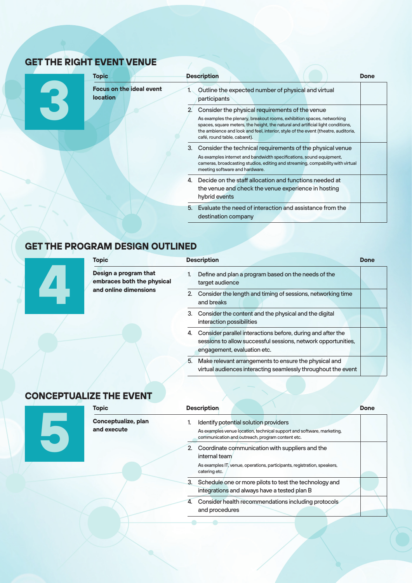# **GET THE RIGHT EVENT VENUE**

**3**

| <b>Topic</b>                                       | <b>Description</b>                                                                                                                                                                                                                                                                                                                                | Done |
|----------------------------------------------------|---------------------------------------------------------------------------------------------------------------------------------------------------------------------------------------------------------------------------------------------------------------------------------------------------------------------------------------------------|------|
| <b>Focus on the ideal event</b><br><b>location</b> | Outline the expected number of physical and virtual<br>participants                                                                                                                                                                                                                                                                               |      |
|                                                    | Consider the physical requirements of the venue<br>$2^{\prime}$<br>As examples the plenary, breakout rooms, exhibition spaces, networking<br>spaces, square meters, the height, the natural and artificial light conditions,<br>the ambience and look and feel, interior, style of the event (theatre, auditoria,<br>café, round table, cabaret). |      |
|                                                    | 3. Consider the technical requirements of the physical venue<br>As examples internet and bandwidth specifications, sound equipment,<br>cameras, broadcasting studios, editing and streaming, compability with virtual<br>meeting software and hardware.                                                                                           |      |
|                                                    | 4. Decide on the staff allocation and functions needed at<br>the venue and check the venue experience in hosting<br>hybrid events                                                                                                                                                                                                                 |      |
|                                                    | Evaluate the need of interaction and assistance from the<br>5.<br>destination company                                                                                                                                                                                                                                                             |      |

## **GET THE PROGRAM DESIGN OUTLINED**

|  | <b>Topic</b>                                                                 | <b>Description</b>                                                                                                                                                | <b>Done</b> |
|--|------------------------------------------------------------------------------|-------------------------------------------------------------------------------------------------------------------------------------------------------------------|-------------|
|  | Design a program that<br>embraces both the physical<br>and online dimensions | Define and plan a program based on the needs of the<br>target audience                                                                                            |             |
|  |                                                                              | 2. Consider the length and timing of sessions, networking time<br>and breaks                                                                                      |             |
|  |                                                                              | 3. Consider the content and the physical and the digital<br>interaction possibilities                                                                             |             |
|  |                                                                              | Consider parallel interactions before, during and after the<br>4.<br>sessions to allow successful sessions, network opportunities,<br>engagement, evaluation etc. |             |
|  |                                                                              | 5. Make relevant arrangements to ensure the physical and<br>virtual audiences interacting seamlessly throughout the event                                         |             |

# **CONCEPTUALIZE THE EVENT**

| <b>Topic</b>                       | <b>Description</b>                                                                                                                                                  | <b>Done</b> |
|------------------------------------|---------------------------------------------------------------------------------------------------------------------------------------------------------------------|-------------|
| Conceptualize, plan<br>and execute | Identify potential solution providers<br>As examples venue location, technical support and software, marketing,<br>communication and outreach, program content etc. |             |
|                                    | 2. Coordinate communication with suppliers and the<br>internal team<br>As examples IT, venue, operations, participants, registration, speakers,<br>catering etc.    |             |
|                                    | Schedule one or more pilots to test the technology and<br>3.<br>integrations and always have a tested plan B                                                        |             |
|                                    | Consider health recommendations including protocols<br>4.<br>and procedures                                                                                         |             |
|                                    |                                                                                                                                                                     |             |